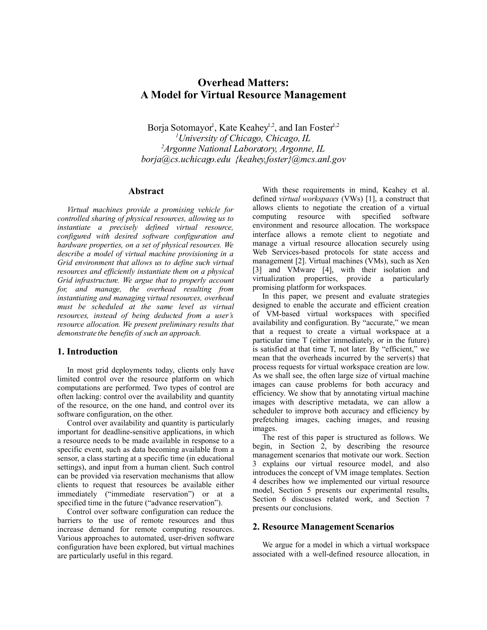# **Overhead Matters: A Model for Virtual Resource Management**

Borja Sotomayor<sup>1</sup>, Kate Keahey<sup>1,2</sup>, and Ian Foster<sup>1,2</sup> *<sup>1</sup>University of Chicago, Chicago, IL <sup>2</sup>Argonne National Laboratory, Argonne, IL borja@cs.uchicago.edu {keahey,foster}@mcs.anl.gov*

#### **Abstract**

*Virtual machines provide a promising vehicle for controlled sharing of physical resources, allowing us to instantiate a precisely defined virtual resource, configured with desired software configuration and hardware properties, on a set of physical resources. We describe a model of virtual machine provisioning in a Grid environment that allows us to define such virtual resources and efficiently instantiate them on a physical Grid infrastructure. We argue that to properly account for, and manage, the overhead resulting from instantiating and managing virtual resources, overhead must be scheduled at the same level as virtual resources, instead of being deducted from a user's resource allocation. We present preliminary results that demonstrate the benefits of such an approach.*

#### **1. Introduction**

In most grid deployments today, clients only have limited control over the resource platform on which computations are performed. Two types of control are often lacking: control over the availability and quantity of the resource, on the one hand, and control over its software configuration, on the other.

Control over availability and quantity is particularly important for deadline-sensitive applications, in which a resource needs to be made available in response to a specific event, such as data becoming available from a sensor, a class starting at a specific time (in educational settings), and input from a human client. Such control can be provided via reservation mechanisms that allow clients to request that resources be available either immediately ("immediate reservation") or at a specified time in the future ("advance reservation").

Control over software configuration can reduce the barriers to the use of remote resources and thus increase demand for remote computing resources. Various approaches to automated, user-driven software configuration have been explored, but virtual machines are particularly useful in this regard.

With these requirements in mind, Keahey et al. defined *virtual workspaces* (VWs) [1], a construct that allows clients to negotiate the creation of a virtual computing resource with specified software environment and resource allocation. The workspace interface allows a remote client to negotiate and manage a virtual resource allocation securely using Web Services-based protocols for state access and management [2]. Virtual machines (VMs), such as Xen [3] and VMware [4], with their isolation and virtualization properties, provide a particularly promising platform for workspaces.

In this paper, we present and evaluate strategies designed to enable the accurate and efficient creation of VM-based virtual workspaces with specified availability and configuration. By "accurate," we mean that a request to create a virtual workspace at a particular time T (either immediately, or in the future) is satisfied at that time T, not later. By "efficient," we mean that the overheads incurred by the server(s) that process requests for virtual workspace creation are low. As we shall see, the often large size of virtual machine images can cause problems for both accuracy and efficiency. We show that by annotating virtual machine images with descriptive metadata, we can allow a scheduler to improve both accuracy and efficiency by prefetching images, caching images, and reusing images.

The rest of this paper is structured as follows. We begin, in Section 2, by describing the resource management scenarios that motivate our work. Section 3 explains our virtual resource model, and also introduces the concept of VM image templates. Section 4 describes how we implemented our virtual resource model, Section 5 presents our experimental results, Section 6 discusses related work, and Section 7 presents our conclusions.

#### **2. Resource Management Scenarios**

We argue for a model in which a virtual workspace associated with a well-defined resource allocation, in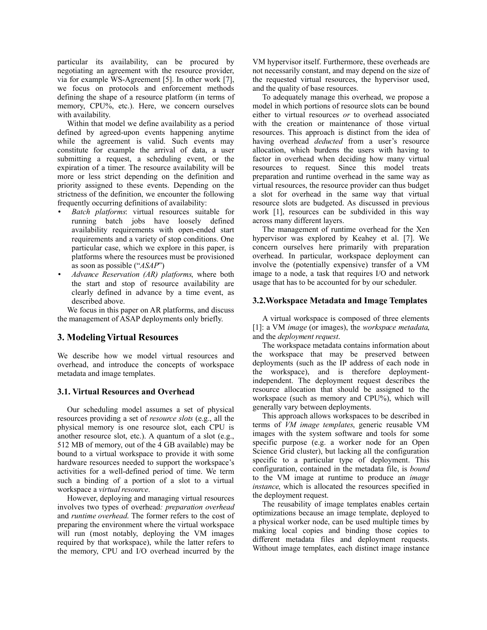particular its availability, can be procured by negotiating an agreement with the resource provider, via for example WS-Agreement [5]. In other work [7], we focus on protocols and enforcement methods defining the shape of a resource platform (in terms of memory, CPU%, etc.). Here, we concern ourselves with availability.

Within that model we define availability as a period defined by agreed-upon events happening anytime while the agreement is valid. Such events may constitute for example the arrival of data, a user submitting a request, a scheduling event, or the expiration of a timer. The resource availability will be more or less strict depending on the definition and priority assigned to these events. Depending on the strictness of the definition, we encounter the following frequently occurring definitions of availability:

- *Batch platforms*: virtual resources suitable for running batch jobs have loosely defined availability requirements with open-ended start requirements and a variety of stop conditions. One particular case, which we explore in this paper, is platforms where the resources must be provisioned as soon as possible ("*ASAP*")
- *Advance Reservation (AR) platforms*, where both the start and stop of resource availability are clearly defined in advance by a time event, as described above.

We focus in this paper on AR platforms, and discuss the management of ASAP deployments only briefly.

# **3. Modeling Virtual Resources**

We describe how we model virtual resources and overhead, and introduce the concepts of workspace metadata and image templates.

## **3.1. Virtual Resources and Overhead**

Our scheduling model assumes a set of physical resources providing a set of *resource slots* (e.g., all the physical memory is one resource slot, each CPU is another resource slot, etc.). A quantum of a slot (e.g., 512 MB of memory, out of the 4 GB available) may be bound to a virtual workspace to provide it with some hardware resources needed to support the workspace's activities for a well-defined period of time. We term such a binding of a portion of a slot to a virtual workspace a *virtual resource*.

However, deploying and managing virtual resources involves two types of overhead*: preparation overhead* and *runtime overhead*. The former refers to the cost of preparing the environment where the virtual workspace will run (most notably, deploying the VM images required by that workspace), while the latter refers to the memory, CPU and I/O overhead incurred by the

VM hypervisor itself. Furthermore, these overheads are not necessarily constant, and may depend on the size of the requested virtual resources, the hypervisor used, and the quality of base resources.

To adequately manage this overhead, we propose a model in which portions of resource slots can be bound either to virtual resources *or* to overhead associated with the creation or maintenance of those virtual resources. This approach is distinct from the idea of having overhead *deducted* from a user's resource allocation, which burdens the users with having to factor in overhead when deciding how many virtual resources to request. Since this model treats preparation and runtime overhead in the same way as virtual resources, the resource provider can thus budget a slot for overhead in the same way that virtual resource slots are budgeted. As discussed in previous work [1], resources can be subdivided in this way across many different layers.

The management of runtime overhead for the Xen hypervisor was explored by Keahey et al. [7]. We concern ourselves here primarily with preparation overhead. In particular, workspace deployment can involve the (potentially expensive) transfer of a VM image to a node, a task that requires I/O and network usage that has to be accounted for by our scheduler.

## **3.2.Workspace Metadata and Image Templates**

A virtual workspace is composed of three elements [1]: a VM *image* (or images), the *workspace metadata*, and the *deployment request*.

The workspace metadata contains information about the workspace that may be preserved between deployments (such as the IP address of each node in the workspace), and is therefore deploymentindependent. The deployment request describes the resource allocation that should be assigned to the workspace (such as memory and CPU%), which will generally vary between deployments.

This approach allows workspaces to be described in terms of *VM image templates*, generic reusable VM images with the system software and tools for some specific purpose (e.g. a worker node for an Open Science Grid cluster), but lacking all the configuration specific to a particular type of deployment. This configuration, contained in the metadata file, is *bound* to the VM image at runtime to produce an *image instance*, which is allocated the resources specified in the deployment request.

The reusability of image templates enables certain optimizations because an image template, deployed to a physical worker node, can be used multiple times by making local copies and binding those copies to different metadata files and deployment requests. Without image templates, each distinct image instance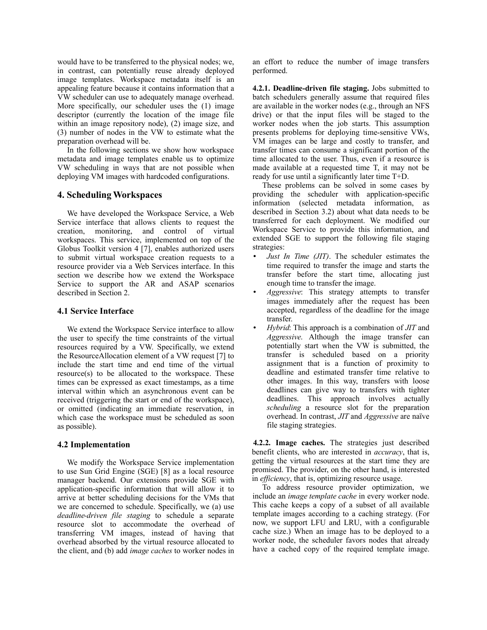would have to be transferred to the physical nodes; we, in contrast, can potentially reuse already deployed image templates. Workspace metadata itself is an appealing feature because it contains information that a VW scheduler can use to adequately manage overhead. More specifically, our scheduler uses the (1) image descriptor (currently the location of the image file within an image repository node), (2) image size, and (3) number of nodes in the VW to estimate what the preparation overhead will be.

In the following sections we show how workspace metadata and image templates enable us to optimize VW scheduling in ways that are not possible when deploying VM images with hardcoded configurations.

## **4. Scheduling Workspaces**

We have developed the Workspace Service, a Web Service interface that allows clients to request the creation, monitoring, and control of virtual workspaces. This service, implemented on top of the Globus Toolkit version 4 [7], enables authorized users to submit virtual workspace creation requests to a resource provider via a Web Services interface. In this section we describe how we extend the Workspace Service to support the AR and ASAP scenarios described in Section 2.

#### **4.1 Service Interface**

We extend the Workspace Service interface to allow the user to specify the time constraints of the virtual resources required by a VW. Specifically, we extend the ResourceAllocation element of a VW request [7] to include the start time and end time of the virtual resource(s) to be allocated to the workspace. These times can be expressed as exact timestamps, as a time interval within which an asynchronous event can be received (triggering the start or end of the workspace), or omitted (indicating an immediate reservation, in which case the workspace must be scheduled as soon as possible).

## **4.2 Implementation**

We modify the Workspace Service implementation to use Sun Grid Engine (SGE) [8] as a local resource manager backend. Our extensions provide SGE with application-specific information that will allow it to arrive at better scheduling decisions for the VMs that we are concerned to schedule. Specifically, we (a) use *deadline-driven file staging* to schedule a separate resource slot to accommodate the overhead of transferring VM images, instead of having that overhead absorbed by the virtual resource allocated to the client, and (b) add *image caches* to worker nodes in

an effort to reduce the number of image transfers performed.

**4.2.1. Deadline-driven file staging.** Jobs submitted to batch schedulers generally assume that required files are available in the worker nodes (e.g., through an NFS drive) or that the input files will be staged to the worker nodes when the job starts. This assumption presents problems for deploying time-sensitive VWs, VM images can be large and costly to transfer, and transfer times can consume a significant portion of the time allocated to the user. Thus, even if a resource is made available at a requested time T, it may not be ready for use until a significantly later time T+D.

These problems can be solved in some cases by providing the scheduler with application-specific information (selected metadata information, as described in Section 3.2) about what data needs to be transferred for each deployment. We modified our Workspace Service to provide this information, and extended SGE to support the following file staging strategies:

- *Just In Time (JIT)*. The scheduler estimates the time required to transfer the image and starts the transfer before the start time, allocating just enough time to transfer the image.
- *Aggressive*: This strategy attempts to transfer images immediately after the request has been accepted, regardless of the deadline for the image transfer.
- *Hybrid*: This approach is a combination of *JIT* and *Aggressive*. Although the image transfer can potentially start when the VW is submitted, the transfer is scheduled based on a priority assignment that is a function of proximity to deadline and estimated transfer time relative to other images. In this way, transfers with loose deadlines can give way to transfers with tighter deadlines. This approach involves actually *scheduling* a resource slot for the preparation overhead. In contrast, *JIT* and *Aggressive* are naïve file staging strategies.

**4.2.2. Image caches.** The strategies just described benefit clients, who are interested in *accuracy*, that is, getting the virtual resources at the start time they are promised. The provider, on the other hand, is interested in *efficiency*, that is, optimizing resource usage.

To address resource provider optimization, we include an *image template cache* in every worker node. This cache keeps a copy of a subset of all available template images according to a caching strategy. (For now, we support LFU and LRU, with a configurable cache size.) When an image has to be deployed to a worker node, the scheduler favors nodes that already have a cached copy of the required template image.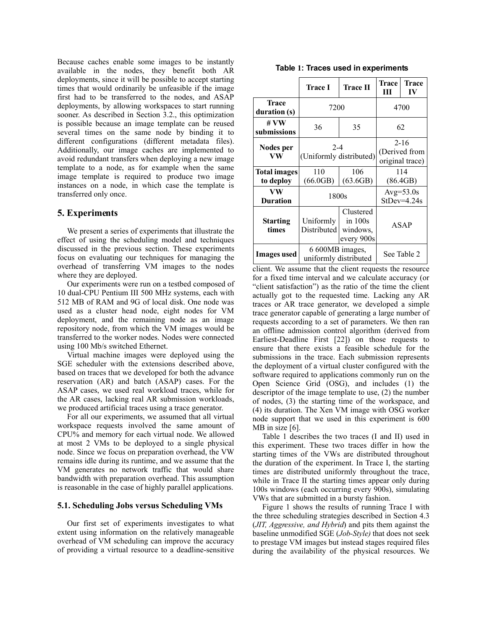Because caches enable some images to be instantly available in the nodes, they benefit both AR deployments, since it will be possible to accept starting times that would ordinarily be unfeasible if the image first had to be transferred to the nodes, and ASAP deployments, by allowing workspaces to start running sooner. As described in Section 3.2., this optimization is possible because an image template can be reused several times on the same node by binding it to different configurations (different metadata files). Additionally, our image caches are implemented to avoid redundant transfers when deploying a new image template to a node, as for example when the same image template is required to produce two image instances on a node, in which case the template is transferred only once.

## **5. Experiments**

We present a series of experiments that illustrate the effect of using the scheduling model and techniques discussed in the previous section. These experiments focus on evaluating our techniques for managing the overhead of transferring VM images to the nodes where they are deployed.

Our experiments were run on a testbed composed of 10 dual-CPU Pentium III 500 MHz systems, each with 512 MB of RAM and 9G of local disk. One node was used as a cluster head node, eight nodes for VM deployment, and the remaining node as an image repository node, from which the VM images would be transferred to the worker nodes. Nodes were connected using 100 Mb/s switched Ethernet.

Virtual machine images were deployed using the SGE scheduler with the extensions described above, based on traces that we developed for both the advance reservation (AR) and batch (ASAP) cases. For the ASAP cases, we used real workload traces, while for the AR cases, lacking real AR submission workloads, we produced artificial traces using a trace generator.

For all our experiments, we assumed that all virtual workspace requests involved the same amount of CPU% and memory for each virtual node. We allowed at most 2 VMs to be deployed to a single physical node. Since we focus on preparation overhead, the VW remains idle during its runtime, and we assume that the VM generates no network traffic that would share bandwidth with preparation overhead. This assumption is reasonable in the case of highly parallel applications.

#### **5.1. Scheduling Jobs versus Scheduling VMs**

Our first set of experiments investigates to what extent using information on the relatively manageable overhead of VM scheduling can improve the accuracy of providing a virtual resource to a deadline-sensitive

|  |  |  |  | Table 1: Traces used in experiments |
|--|--|--|--|-------------------------------------|
|--|--|--|--|-------------------------------------|

|                                  | Trace I                                  | Trace II                                         | Trace<br>Ш                                   | <b>Trace</b><br>IV |  |
|----------------------------------|------------------------------------------|--------------------------------------------------|----------------------------------------------|--------------------|--|
| Trace<br>duration (s)            | 7200                                     | 4700                                             |                                              |                    |  |
| # $VW$<br>submissions            | 36                                       | 35                                               | 62                                           |                    |  |
| Nodes per<br>VW                  | $2 - 4$<br>(Uniformly distributed)       |                                                  | $2 - 16$<br>(Derived from<br>original trace) |                    |  |
| <b>Total images</b><br>to deploy | 110<br>(66.0GB)                          | 106<br>(63.6GB)                                  | 114<br>(86.4GB)                              |                    |  |
| VW<br><b>Duration</b>            | 1800s                                    | $Avg=53.0s$<br>$StDev=4.24s$                     |                                              |                    |  |
| <b>Starting</b><br>times         | Uniformly<br>Distributed                 | Clustered<br>in $100s$<br>windows,<br>every 900s |                                              | ASAP               |  |
| <b>Images</b> used               | 6 600MB images,<br>uniformly distributed | See Table 2                                      |                                              |                    |  |

client. We assume that the client requests the resource for a fixed time interval and we calculate accuracy (or "client satisfaction") as the ratio of the time the client actually got to the requested time. Lacking any AR traces or AR trace generator, we developed a simple trace generator capable of generating a large number of requests according to a set of parameters. We then ran an offline admission control algorithm (derived from Earliest-Deadline First [22]) on those requests to ensure that there exists a feasible schedule for the submissions in the trace. Each submission represents the deployment of a virtual cluster configured with the software required to applications commonly run on the Open Science Grid (OSG), and includes (1) the descriptor of the image template to use, (2) the number of nodes, (3) the starting time of the workspace, and (4) its duration. The Xen VM image with OSG worker node support that we used in this experiment is 600 MB in size [6].

Table 1 describes the two traces (I and II) used in this experiment. These two traces differ in how the starting times of the VWs are distributed throughout the duration of the experiment. In Trace I, the starting times are distributed uniformly throughout the trace, while in Trace II the starting times appear only during 100s windows (each occurring every 900s), simulating VWs that are submitted in a bursty fashion.

Figure 1 shows the results of running Trace I with the three scheduling strategies described in Section 4.3 (*JIT, Aggressive, and Hybrid*) and pits them against the baseline unmodified SGE (*Job-Style)* that does not seek to prestage VM images but instead stages required files during the availability of the physical resources. We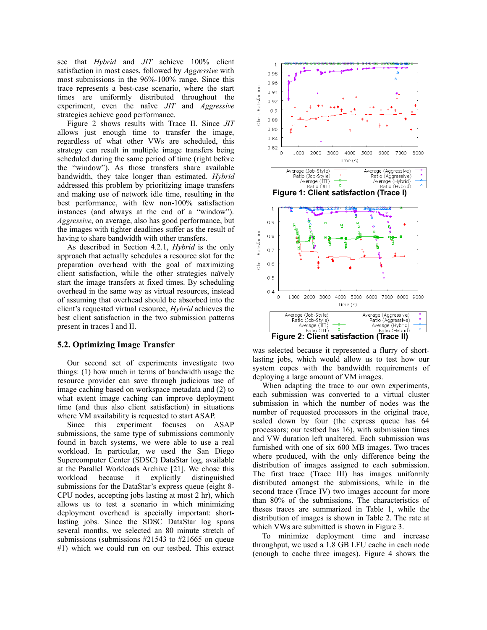see that *Hybrid* and *JIT* achieve 100% client satisfaction in most cases, followed by *Aggressive* with most submissions in the 96%-100% range. Since this trace represents a best-case scenario, where the start times are uniformly distributed throughout the experiment, even the naïve *JIT* and *Aggressive* strategies achieve good performance.

Figure 2 shows results with Trace II. Since *JIT* allows just enough time to transfer the image, regardless of what other VWs are scheduled, this strategy can result in multiple image transfers being scheduled during the same period of time (right before the "window"). As those transfers share available bandwidth, they take longer than estimated. *Hybrid* addressed this problem by prioritizing image transfers and making use of network idle time, resulting in the best performance, with few non-100% satisfaction instances (and always at the end of a "window"). *Aggressive*, on average, also has good performance, but the images with tighter deadlines suffer as the result of having to share bandwidth with other transfers.

As described in Section 4.2.1, *Hybrid* is the only approach that actually schedules a resource slot for the preparation overhead with the goal of maximizing client satisfaction, while the other strategies naïvely start the image transfers at fixed times. By scheduling overhead in the same way as virtual resources, instead of assuming that overhead should be absorbed into the client's requested virtual resource, *Hybrid* achieves the best client satisfaction in the two submission patterns present in traces I and II.

#### **5.2. Optimizing Image Transfer**

Our second set of experiments investigate two things: (1) how much in terms of bandwidth usage the resource provider can save through judicious use of image caching based on workspace metadata and (2) to what extent image caching can improve deployment time (and thus also client satisfaction) in situations where VM availability is requested to start ASAP.

Since this experiment focuses on ASAP submissions, the same type of submissions commonly found in batch systems, we were able to use a real workload. In particular, we used the San Diego Supercomputer Center (SDSC) DataStar log, available at the Parallel Workloads Archive [21]. We chose this workload because it explicitly distinguished submissions for the DataStar's express queue (eight 8- CPU nodes, accepting jobs lasting at most 2 hr), which allows us to test a scenario in which minimizing deployment overhead is specially important: shortlasting jobs. Since the SDSC DataStar log spans several months, we selected an 80 minute stretch of submissions (submissions #21543 to #21665 on queue #1) which we could run on our testbed. This extract



was selected because it represented a flurry of shortlasting jobs, which would allow us to test how our system copes with the bandwidth requirements of deploying a large amount of VM images.

When adapting the trace to our own experiments, each submission was converted to a virtual cluster submission in which the number of nodes was the number of requested processors in the original trace, scaled down by four (the express queue has 64 processors; our testbed has 16), with submission times and VW duration left unaltered. Each submission was furnished with one of six 600 MB images. Two traces where produced, with the only difference being the distribution of images assigned to each submission. The first trace (Trace III) has images uniformly distributed amongst the submissions, while in the second trace (Trace IV) two images account for more than 80% of the submissions. The characteristics of theses traces are summarized in Table 1, while the distribution of images is shown in Table 2. The rate at which VWs are submitted is shown in Figure 3.

To minimize deployment time and increase throughput, we used a 1.8 GB LFU cache in each node (enough to cache three images). Figure 4 shows the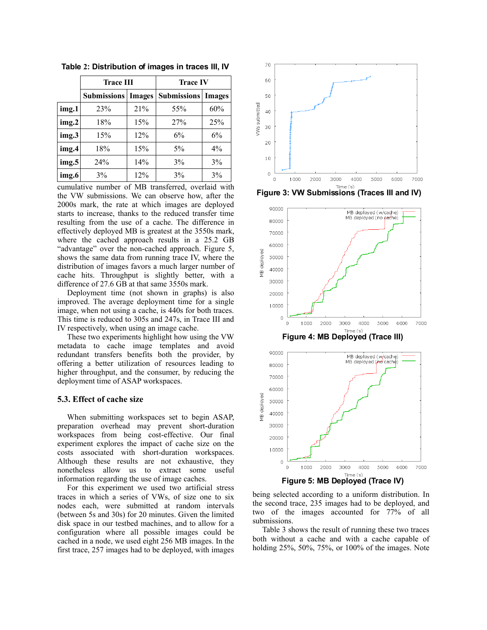|       | <b>Trace III</b>   |               | <b>Trace IV</b>    |               |  |  |
|-------|--------------------|---------------|--------------------|---------------|--|--|
|       | <b>Submissions</b> | <b>Images</b> | <b>Submissions</b> | <b>Images</b> |  |  |
| img.1 | 23%                | 21%           | 55%                | 60%           |  |  |
| img.2 | 18%                | 15%           | 27%                | 25%           |  |  |
| img.3 | 15%                | 12%           | 6%                 | 6%            |  |  |
| img.4 | 18%                | 15%           | $5\%$              | $4\%$         |  |  |
| img.5 | 24%                | 14%           | 3%                 | 3%            |  |  |
| img.6 | 3%                 | 12%           | 3%                 | 3%            |  |  |

**Table 2: Distribution of images in traces III, IV**

cumulative number of MB transferred, overlaid with the VW submissions. We can observe how, after the 2000s mark, the rate at which images are deployed starts to increase, thanks to the reduced transfer time resulting from the use of a cache. The difference in effectively deployed MB is greatest at the 3550s mark, where the cached approach results in a 25.2 GB "advantage" over the non-cached approach. Figure 5, shows the same data from running trace IV, where the distribution of images favors a much larger number of cache hits. Throughput is slightly better, with a difference of 27.6 GB at that same 3550s mark.

Deployment time (not shown in graphs) is also improved. The average deployment time for a single image, when not using a cache, is 440s for both traces. This time is reduced to 305s and 247s, in Trace III and IV respectively, when using an image cache.

These two experiments highlight how using the VW metadata to cache image templates and avoid redundant transfers benefits both the provider, by offering a better utilization of resources leading to higher throughput, and the consumer, by reducing the deployment time of ASAP workspaces.

#### **5.3. Effect of cache size**

When submitting workspaces set to begin ASAP, preparation overhead may prevent short-duration workspaces from being cost-effective. Our final experiment explores the impact of cache size on the costs associated with short-duration workspaces. Although these results are not exhaustive, they nonetheless allow us to extract some useful information regarding the use of image caches.

For this experiment we used two artificial stress traces in which a series of VWs, of size one to six nodes each, were submitted at random intervals (between 5s and 30s) for 20 minutes. Given the limited disk space in our testbed machines, and to allow for a configuration where all possible images could be cached in a node, we used eight 256 MB images. In the first trace, 257 images had to be deployed, with images



**Figure 3: VW Submissions (Traces III and IV)**



being selected according to a uniform distribution. In the second trace, 235 images had to be deployed, and two of the images accounted for 77% of all submissions.

Table 3 shows the result of running these two traces both without a cache and with a cache capable of holding 25%, 50%, 75%, or 100% of the images. Note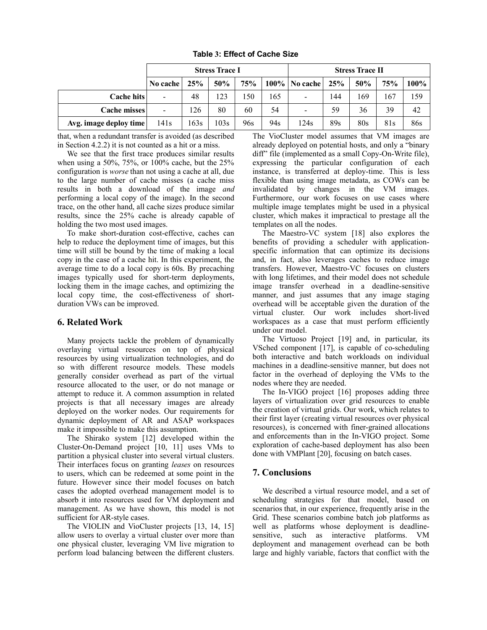|                        | <b>Stress Trace I</b> |      |      |     | <b>Stress Trace II</b> |                          |     |     |            |         |
|------------------------|-----------------------|------|------|-----|------------------------|--------------------------|-----|-----|------------|---------|
|                        | No cache $ $          | 25%  | 50%  | 75% |                        | $100\%$   No cache       | 25% | 50% | <b>75%</b> | $100\%$ |
| Cache hits             | $\overline{a}$        | 48   | 123  | 150 | 165                    | $\overline{\phantom{a}}$ | 144 | 169 | 167        | 159     |
| Cache misses           | $\blacksquare$        | 126  | 80   | 60  | 54                     | $\overline{\phantom{a}}$ | 59  | 36  | 39         | 42      |
| Avg. image deploy time | 141s                  | 163s | 103s | 96s | 94s                    | 124s                     | 89s | 80s | 81s        | 86s     |

**Table 3: Effect of Cache Size**

that, when a redundant transfer is avoided (as described in Section 4.2.2) it is not counted as a hit or a miss.

We see that the first trace produces similar results when using a 50%, 75%, or 100% cache, but the 25% configuration is *worse* than not using a cache at all, due to the large number of cache misses (a cache miss results in both a download of the image *and* performing a local copy of the image). In the second trace, on the other hand, all cache sizes produce similar results, since the 25% cache is already capable of holding the two most used images.

To make short-duration cost-effective, caches can help to reduce the deployment time of images, but this time will still be bound by the time of making a local copy in the case of a cache hit. In this experiment, the average time to do a local copy is 60s. By precaching images typically used for short-term deployments, locking them in the image caches, and optimizing the local copy time, the cost-effectiveness of shortduration VWs can be improved.

# **6. Related Work**

Many projects tackle the problem of dynamically overlaying virtual resources on top of physical resources by using virtualization technologies, and do so with different resource models. These models generally consider overhead as part of the virtual resource allocated to the user, or do not manage or attempt to reduce it. A common assumption in related projects is that all necessary images are already deployed on the worker nodes. Our requirements for dynamic deployment of AR and ASAP workspaces make it impossible to make this assumption.

The Shirako system [12] developed within the Cluster-On-Demand project [10, 11] uses VMs to partition a physical cluster into several virtual clusters. Their interfaces focus on granting *leases* on resources to users, which can be redeemed at some point in the future. However since their model focuses on batch cases the adopted overhead management model is to absorb it into resources used for VM deployment and management. As we have shown, this model is not sufficient for AR-style cases.

The VIOLIN and VioCluster projects [13, 14, 15] allow users to overlay a virtual cluster over more than one physical cluster, leveraging VM live migration to perform load balancing between the different clusters. The VioCluster model assumes that VM images are already deployed on potential hosts, and only a "binary diff" file (implemented as a small Copy-On-Write file), expressing the particular configuration of each instance, is transferred at deploy-time. This is less flexible than using image metadata, as COWs can be invalidated by changes in the VM images. Furthermore, our work focuses on use cases where multiple image templates might be used in a physical cluster, which makes it impractical to prestage all the templates on all the nodes.

The Maestro-VC system [18] also explores the benefits of providing a scheduler with applicationspecific information that can optimize its decisions and, in fact, also leverages caches to reduce image transfers. However, Maestro-VC focuses on clusters with long lifetimes, and their model does not schedule image transfer overhead in a deadline-sensitive manner, and just assumes that any image staging overhead will be acceptable given the duration of the virtual cluster. Our work includes short-lived workspaces as a case that must perform efficiently under our model.

The Virtuoso Project [19] and, in particular, its VSched component [17], is capable of co-scheduling both interactive and batch workloads on individual machines in a deadline-sensitive manner, but does not factor in the overhead of deploying the VMs to the nodes where they are needed.

The In-VIGO project [16] proposes adding three layers of virtualization over grid resources to enable the creation of virtual grids. Our work, which relates to their first layer (creating virtual resources over physical resources), is concerned with finer-grained allocations and enforcements than in the In-VIGO project. Some exploration of cache-based deployment has also been done with VMPlant [20], focusing on batch cases.

# **7. Conclusions**

We described a virtual resource model, and a set of scheduling strategies for that model, based on scenarios that, in our experience, frequently arise in the Grid. These scenarios combine batch job platforms as well as platforms whose deployment is deadlinesensitive, such as interactive platforms. VM deployment and management overhead can be both large and highly variable, factors that conflict with the